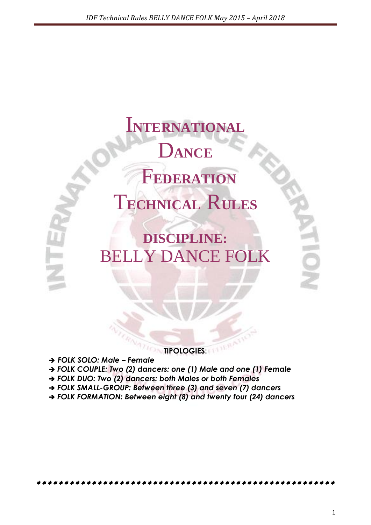I**NTERNATIONAL** D**ANCE** F**EDERATION** T**ECHNICAL** R**ULES**

**DISCIPLINE:** BELLY DANCE FOLK

**TIPOLOGIES:**

*FOLK SOLO: Male – Female*

- *FOLK COUPLE: Two (2) dancers: one (1) Male and one (1) Female*
- *FOLK DUO: Two (2) dancers: both Males or both Females*
- *FOLK SMALL-GROUP: Between three (3) and seven (7) dancers*
- *FOLK FORMATION: Between eight (8) and twenty four (24) dancers*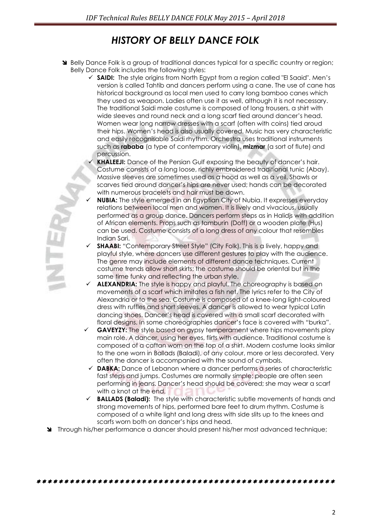# *HISTORY OF BELLY DANCE FOLK*

- Sum Belly Dance Folk is a group of traditional dances typical for a specific country or region; Belly Dance Folk includes the following styles:
	- **SAIDI:** The style origins from North Egypt from a region called "El Saaid". Men"s version is called Tahtib and dancers perform using a cane. The use of cane has historical background as local men used to carry long bamboo canes which they used as weapon. Ladies often use it as well, although it is not necessary. The traditional Saidi male costume is composed of long trousers, a shirt with wide sleeves and round neck and a long scarf tied around dancer"s head. Women wear long narrow dresses with a scarf (often with coins) tied aroud their hips. Women"s head is also usually covered. Music has very characteristic and easily recognisable Saidi rhythm. Orchestra uses traditional instruments such as **rababa** (a type of contemporary violin), **mizmar** (a sort of flute) and percussion.
		- **KHALEEJI:** Dance of the Persian Gulf exposing the beauty of dancer's hair. Costume consists of a long loose, richly embroidered traditional tunic (Abay). Massive sleeves are sometimes used as a hood as well as a veil. Shawls or scarves tied around dancer"s hips are never used; hands can be decorated with numerous bracelets and hair must be down.
	- **NUBIA:** The style emerged in an Egyptian City of Nubia. It expresses everyday relations between local men and women. It is lively and vivacious, usually performed as a group dance. Dancers perform steps as in [Halidjs](http://www.yeveeq.com/haligi/haligi.htm) with addition of African elements. Props such as tamburin (Doff) or a wooden plate (Hus) can be used. Costume consists of a long dress of any colour that resembles Indian Sari.
	- **SHAABI:** "Contemporary Street Style" (City Folk). This is a lively, happy and playful style, where dancers use different gestures to play with the audience. The genre may include elements of different dance techniques. Current costume trends allow short skirts; the costume should be oriental but in the same time funky and reflecting the urban style.
	- **ALEXANDRIA:** The style is happy and playful. The choreography is based on movements of a scarf which imitates a fish net. The lyrics refer to the City of Alexandria or to the sea. Costume is composed of a knee-long light-coloured dress with ruffles and short sleeves. A dancer is allowed to wear typical Latin dancing shoes. Dancer"s head is covered with a small scarf decorated with floral designs. In some choreographies dancer"s face is covered with "burka".
	- **GAVEYZY:** The style based on gypsy temperament where hips movements play main role. A dancer, using her eyes, flirts with audience. Traditional costume is composed of a caftan worn on the top of a shirt. Modern costume looks similar to the one worn in Ballads (Baladi), of any colour, more or less decorated. Very often the dancer is accompanied with the sound of cymbals.
	- **DABKA:** Dance of Lebanon where a dancer performs a series of characteristic fast steps and jumps. Costumes are normally simple; people are often seen performing in jeans. Dancer"s head should be covered; she may wear a scarf with a knot at the end.
	- **BALLADS (Baladi):** The style with characteristic subtle movements of hands and strong movements of hips, performed bare feet to drum rhythm. Costume is composed of a white light and long dress with side slits up to the knees and scarfs worn both on dancer"s hips and head.
- Through his/her performance a dancer should present his/her most advanced technique;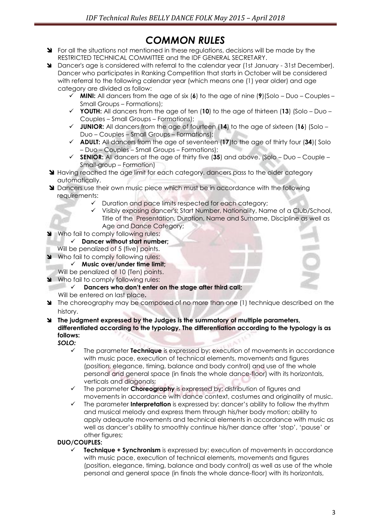# *COMMON RULES*

- State regulations in the situations not mentioned in these requiditions, decisions will be made by the RESTRICTED TECHNICAL COMMITTEE and the IDF GENERAL SECRETARY.
- Dancer's age is considered with referral to the calendar year (1st January 31st December). Dancer who participates in Ranking Competition that starts in October will be considered with referral to the following calendar year (which means one (1) year older) and age category are divided as follow:
	- **MINI:** All dancers from the age of six (**6**) to the age of nine (**9**)(Solo Duo Couples Small Groups – Formations);
	- **YOUTH:** All dancers from the age of ten (**10**) to the age of thirteen (**13**) (Solo Duo Couples – Small Groups – Formations);
	- **JUNIOR:** All dancers from the age of fourteen (**14**) to the age of sixteen (**16**) (Solo Duo – Couples – Small Groups – Formations);
	- **ADULT:** All dancers from the age of seventeen (**17**)to the age of thirty four (**34**)( Solo – Duo – Couples – Small Groups – Formations);
	- **SENIOR:** All dancers at the age of thirty five (**35**) and above. (Solo Duo Couple Small-group – Formation)
- **Having reached the age limit for each category, dancers pass to the older category** automatically.
- **M** Dancers use their own music piece which must be in accordance with the following requirements:
	- $\checkmark$  Duration and pace limits respected for each category;
	- Visibly exposing dancer's: Start Number, Nationality, Name of a Club/School, Title of the Presentation, Duration, Name and Surname, Discipline as well as Age and Dance Category;
- Who fail to comply following rules:
	- **Dancer without start number;**
	- Will be penalized of 5 (five) points.
- Who fail to comply following rules:
	- **Music over/under time limit;**
- Will be penalized of 10 (Ten) points.
- Who fail to comply following rules:<br>Dancers who don't enter a
	- **Dancers who don't enter on the stage after third call;**
	- Will be entered on last place**.**
- The choreography may be composed of no more than one (1) technique described on the history.
- **The judgment expressed by the Judges is the summatory of multiple parameters, differentiated according to the typology. The differentiation according to the typology is as follows:**

*SOLO:*

- The parameter **Technique** is expressed by: execution of movements in accordance with music pace, execution of technical elements, movements and figures (position, elegance, timing, balance and body control) and use of the whole personal and general space (in finals the whole dance-floor) with its horizontals, verticals and diagonals;
- The parameter **Choreography** is expressed by: distribution of figures and movements in accordance with dance context, costumes and originality of music.
- The parameter **Interpretation** is expressed by: dancer"s ability to follow the rhythm and musical melody and express them through his/her body motion; ability to apply adequate movements and technical elements in accordance with music as well as dancer"s ability to smoothly continue his/her dance after "stop", "pause" or other figures;

# **DUO/COUPLES:**

 **Technique + Synchronism** is expressed by: execution of movements in accordance with music pace, execution of technical elements, movements and figures (position, elegance, timing, balance and body control) as well as use of the whole personal and general space (in finals the whole dance-floor) with its horizontals,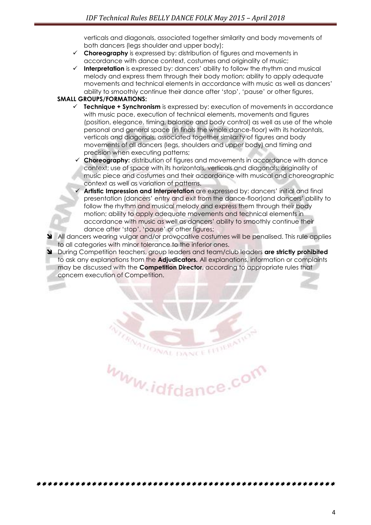verticals and diagonals, associated together similarity and body movements of both dancers (legs shoulder and upper body);

- **Choreography** is expressed by: distribution of figures and movements in accordance with dance context, costumes and originality of music;
- **Interpretation** is expressed by: dancers' ability to follow the rhythm and musical melody and express them through their body motion; ability to apply adequate movements and technical elements in accordance with music as well as dancers" ability to smoothly continue their dance after "stop", "pause" or other figures,

#### **SMALL GROUPS/FORMATIONS:**

- **Technique + Synchronism** is expressed by: execution of movements in accordance with music pace, execution of technical elements, movements and figures (position, elegance, timing, balance and body control) as well as use of the whole personal and general space (in finals the whole dance-floor) with its horizontals, verticals and diagonals, associated together similarity of figures and body movements of all dancers (legs, shoulders and upper body) and timing and precision when executing patterns;
- **Choreography:** distribution of figures and movements in accordance with dance context; use of space with its horizontals, verticals and diagonals; originality of music piece and costumes and their accordance with musical and choreographic context as well as variation of patterns.
- **Artistic Impression and Interpretation** are expressed by: dancers' initial and final presentation (dancers" entry and exit from the dance-floor)and dancers" ability to follow the rhythm and musical melody and express them through their body motion; ability to apply adequate movements and technical elements in accordance with music as well as dancers" ability to smoothly continue their dance after "stop", "pause" or other figures;
- All dancers wearing vulgar and/or provocative costumes will be penalised. This rule applies to all categories with minor tolerance to the inferior ones.
- During Competition teachers, group leaders and team/club leaders **are strictly prohibited**  to ask any explanations from the **Adjudicators.** All explanations, information or complaints may be discussed with the **Competition Director**, according to appropriate rules that concern execution of Competition.

www.idfdance.com

DANCE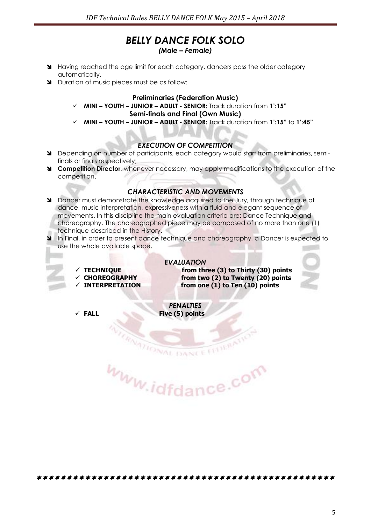# *BELLY DANCE FOLK SOLO*

*(Male – Female)*

- Having reached the age limit for each category, dancers pass the older category automatically.
- Duration of music pieces must be as follow:

#### **Preliminaries (Federation Music)**

- **MINI – YOUTH – JUNIOR – ADULT - SENIOR:** Track duration from **1':15" Semi-finals and Final (Own Music)**
- **MINI – YOUTH – JUNIOR – ADULT - SENIOR:** Track duration from **1':15"** to **1':45"**

#### *EXECUTION OF COMPETITION*

- Depending on number of participants, each category would start from preliminaries, semifinals or finals respectively;
- **Competition Director**, whenever necessary, may apply modifications to the execution of the competition.

#### *CHARACTERISTIC AND MOVEMENTS*

- Dancer must demonstrate the knowledge acquired to the Jury, through technique of dance, music interpretation, expressiveness with a fluid and elegant sequence of movements. In this discipline the main evaluation criteria are: Dance Technique and choreography. The choreographed piece may be composed of no more than one (1) technique described in the History.
- In Final, in order to present dance technique and choreography, a Dancer is expected to use the whole available space.
	-
	-
	-

*EVALUATION*  **TECHNIQUE from three (3) to Thirty (30) points CHOREOGRAPHY from two (2) to Twenty (20) points INTERPRETATION from one (1) to Ten (10) points**



*PENALTIES*  **FALL Five (5) points**

www.idfdance.com

**ATIONAL DANCE**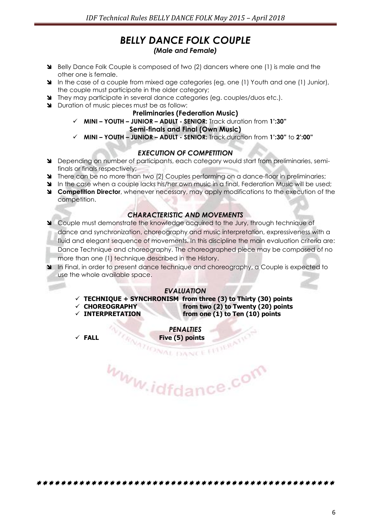# *BELLY DANCE FOLK COUPLE (Male and Female)*

- Belly Dance Folk Couple is composed of two (2) dancers where one (1) is male and the other one is female.
- In the case of a couple from mixed age categories (eg. one (1) Youth and one (1) Junior), the couple must participate in the older category;
- They may participate in several dance categories (eg. couples/duos etc.).
- Duration of music pieces must be as follow:

#### **Preliminaries (Federation Music)**

**MINI – YOUTH – JUNIOR – ADULT - SENIOR:** Track duration from **1':30"**

#### **Semi-finals and Final (Own Music)**

**MINI – YOUTH – JUNIOR – ADULT - SENIOR:** Track duration from **1':30"** to **2':00"**

#### *EXECUTION OF COMPETITION*

- Depending on number of participants, each category would start from preliminaries, semifinals or finals respectively;
- **There can be no more than two (2) Couples performing on a dance-floor in preliminaries;**
- In the case when a couple lacks his/her own music in a final, Federation Music will be used:
- **Competition Director**, whenever necessary, may apply modifications to the execution of the competition.

# *CHARACTERISTIC AND MOVEMENTS*

 Couple must demonstrate the knowledge acquired to the Jury, through technique of dance and synchronization, choreography and music interpretation, expressiveness with a fluid and elegant sequence of movements. In this discipline the main evaluation criteria are: Dance Technique and choreography. The choreographed piece may be composed of no more than one (1) technique described in the History.

In Final, in order to present dance technique and choreography, a Couple is expected to use the whole available space.

#### *EVALUATION*

- **TECHNIQUE + SYNCHRONISM from three (3) to Thirty (30) points**
- **CHOREOGRAPHY from two (2) to Twenty (20) points**
- **INTERPRETATION from one (1) to Ten (10) points**

*PENALTIES*  **FALL** Five (5) points

www.idfdance.com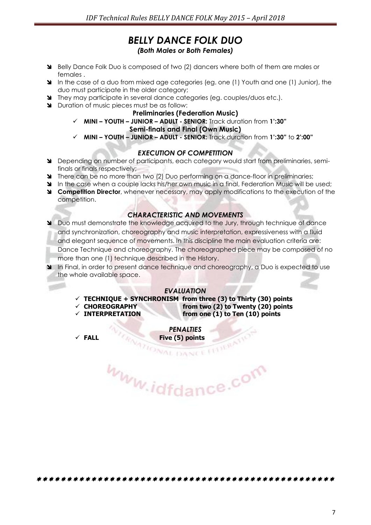# *BELLY DANCE FOLK DUO (Both Males or Both Females)*

- Belly Dance Folk Duo is composed of two (2) dancers where both of them are males or females .
- In the case of a duo from mixed age categories (eg. one (1) Youth and one (1) Junior), the duo must participate in the older category;
- They may participate in several dance categories (eg. couples/duos etc.).
- Duration of music pieces must be as follow:

#### **Preliminaries (Federation Music)**

**MINI – YOUTH – JUNIOR – ADULT - SENIOR:** Track duration from **1':30"**

#### **Semi-finals and Final (Own Music)**

**MINI – YOUTH – JUNIOR – ADULT - SENIOR:** Track duration from **1':30"** to **2':00"**

#### *EXECUTION OF COMPETITION*

- Depending on number of participants, each category would start from preliminaries, semifinals or finals respectively;
- There can be no more than two (2) Duo performing on a dance-floor in preliminaries;
- In the case when a couple lacks his/her own music in a final, Federation Music will be used:
- **Competition Director**, whenever necessary, may apply modifications to the execution of the competition.

# *CHARACTERISTIC AND MOVEMENTS*

 Duo must demonstrate the knowledge acquired to the Jury, through technique of dance and synchronization, choreography and music interpretation, expressiveness with a fluid and elegant sequence of movements. In this discipline the main evaluation criteria are: Dance Technique and choreography. The choreographed piece may be composed of no more than one (1) technique described in the History.

In Final, in order to present dance technique and choreography, a Duo is expected to use the whole available space.

#### *EVALUATION*

- **TECHNIQUE + SYNCHRONISM from three (3) to Thirty (30) points**
- 
- **CHOREOGRAPHY from two (2) to Twenty (20) points INTERPRETATION from one (1) to Ten (10) points**

*PENALTIES* 

**FALL** Five (5) points<br> **Five (5) points** www.idfdance.com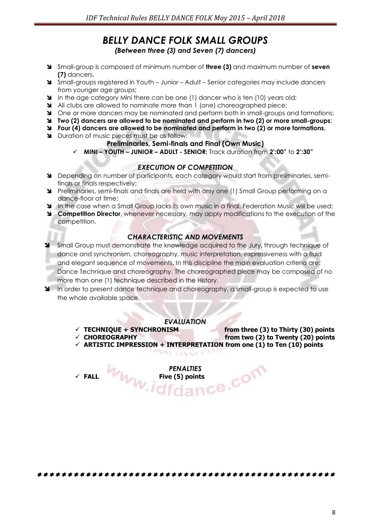# *BELLY DANCE FOLK SMALL GROUPS (Between three (3) and Seven (7) dancers)*

- Small-group is composed of minimum number of **three (3)** and maximum number of **seven (7)** dancers.
- Small-groups registered in Youth Junior Adult Senior categories may include dancers from younger age groups;
- In the age category Mini there can be one (1) dancer who is ten (10) years old;
- All clubs are allowed to nominate more than 1 (one) choreographed piece;
- One or more dancers may be nominated and perform both in small-groups and formations;
- **Two (2) dancers are allowed to be nominated and perform in two (2) or more small-groups**;
- **Four (4) dancers are allowed to be nominated and perform in two (2) or more formations.**
- **N** Duration of music pieces must be as follow:

# **Preliminaries, Semi-finals and Final (Own Music)**

**MINI – YOUTH – JUNIOR – ADULT - SENIOR:** Track duration from **2':00"** to **2':30"**

# *EXECUTION OF COMPETITION*

- Depending on number of participants, each category would start from preliminaries, semifinals or finals respectively;
- Preliminaries, semi-finals and finals are held with only one (1) Small Group performing on a dance-floor at time;
- In the case when a Small Group lacks its own music in a final, Federation Music will be used;
- **Competition Director**, whenever necessary, may apply modifications to the execution of the competition.

# *CHARACTERISTIC AND MOVEMENTS*

- Small Group must demonstrate the knowledge acquired to the Jury, through technique of dance and synchronism, choreography, music interpretation, expressiveness with a fluid and elegant sequence of movements. In this discipline the main evaluation criteria are: Dance Technique and choreography. The choreographed piece may be composed of no more than one (1) technique described in the History.
- In order to present dance technique and choreography, a small-group is expected to use the whole available space.

# *EVALUATION*

*NAL DANCE IT* 

 $\checkmark$  TECHNIQUE + SYNCHRONISM from three (3) to Thirty (30) points

- 
- **CHOREOGRAPHY from two (2) to Twenty (20) points ARTISTIC IMPRESSION + INTERPRETATION from one (1) to Ten (10) points**

*PENALTIES*  **FALL Five (5) points**